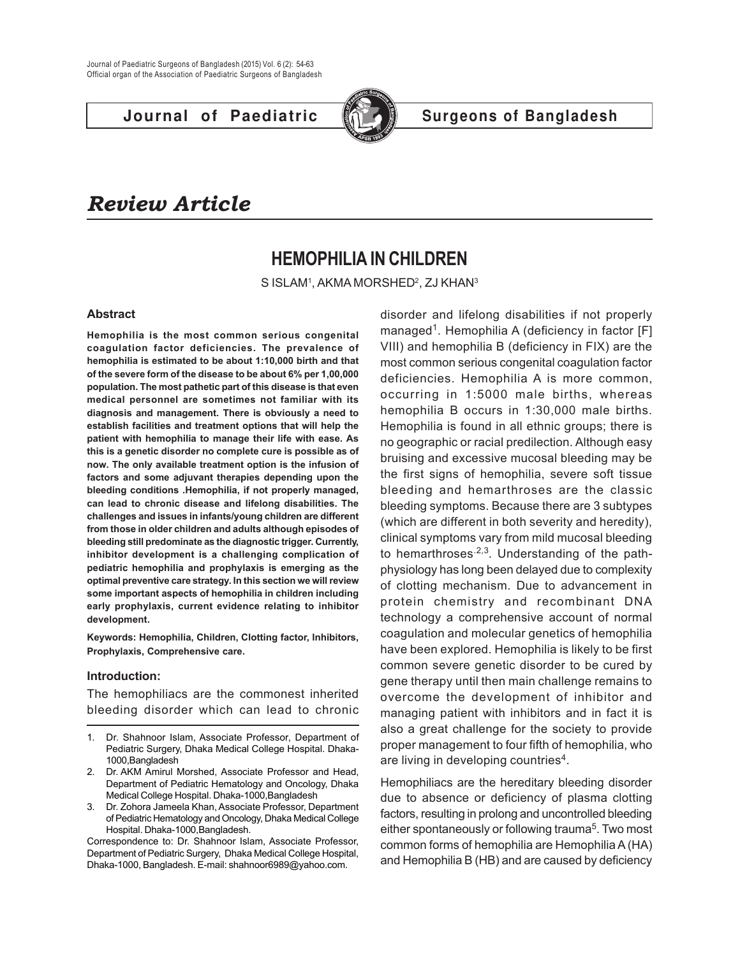

# **Journal of Paediatric Surgeons of Bangladesh**

# *Review Article*

# **HEMOPHILIA IN CHILDREN**

S ISLAM1, AKMA MORSHED<del>2, ZJ KHAN3</del>

### **Abstract**

**Hemophilia is the most common serious congenital coagulation factor deficiencies. The prevalence of hemophilia is estimated to be about 1:10,000 birth and that of the severe form of the disease to be about 6% per 1,00,000 population. The most pathetic part of this disease is that even medical personnel are sometimes not familiar with its diagnosis and management. There is obviously a need to establish facilities and treatment options that will help the patient with hemophilia to manage their life with ease. As this is a genetic disorder no complete cure is possible as of now. The only available treatment option is the infusion of factors and some adjuvant therapies depending upon the bleeding conditions .Hemophilia, if not properly managed, can lead to chronic disease and lifelong disabilities. The challenges and issues in infants/young children are different from those in older children and adults although episodes of bleeding still predominate as the diagnostic trigger. Currently, inhibitor development is a challenging complication of pediatric hemophilia and prophylaxis is emerging as the optimal preventive care strategy. In this section we will review some important aspects of hemophilia in children including early prophylaxis, current evidence relating to inhibitor development.**

**Keywords: Hemophilia, Children, Clotting factor, Inhibitors, Prophylaxis, Comprehensive care.**

### **Introduction:**

The hemophiliacs are the commonest inherited bleeding disorder which can lead to chronic

- 1. Dr. Shahnoor Islam, Associate Professor, Department of Pediatric Surgery, Dhaka Medical College Hospital. Dhaka-1000,Bangladesh
- 2. Dr. AKM Amirul Morshed, Associate Professor and Head, Department of Pediatric Hematology and Oncology, Dhaka Medical College Hospital. Dhaka-1000,Bangladesh
- 3. Dr. Zohora Jameela Khan, Associate Professor, Department of Pediatric Hematology and Oncology, Dhaka Medical College Hospital. Dhaka-1000,Bangladesh.

Correspondence to: Dr. Shahnoor Islam, Associate Professor, Department of Pediatric Surgery, Dhaka Medical College Hospital, Dhaka-1000, Bangladesh. E-mail: shahnoor6989@yahoo.com.

disorder and lifelong disabilities if not properly managed<sup>1</sup>. Hemophilia A (deficiency in factor [F] VIII) and hemophilia B (deficiency in FIX) are the most common serious congenital coagulation factor deficiencies. Hemophilia A is more common, occurring in 1:5000 male births, whereas hemophilia B occurs in 1:30,000 male births. Hemophilia is found in all ethnic groups; there is no geographic or racial predilection. Although easy bruising and excessive mucosal bleeding may be the first signs of hemophilia, severe soft tissue bleeding and hemarthroses are the classic bleeding symptoms. Because there are 3 subtypes (which are different in both severity and heredity), clinical symptoms vary from mild mucosal bleeding to hemarthroses  $2,3$ . Understanding of the pathphysiology has long been delayed due to complexity of clotting mechanism. Due to advancement in protein chemistry and recombinant DNA technology a comprehensive account of normal coagulation and molecular genetics of hemophilia have been explored. Hemophilia is likely to be first common severe genetic disorder to be cured by gene therapy until then main challenge remains to overcome the development of inhibitor and managing patient with inhibitors and in fact it is also a great challenge for the society to provide proper management to four fifth of hemophilia, who are living in developing countries<sup>4</sup>.

Hemophiliacs are the hereditary bleeding disorder due to absence or deficiency of plasma clotting factors, resulting in prolong and uncontrolled bleeding either spontaneously or following trauma<sup>5</sup>. Two most common forms of hemophilia are Hemophilia A (HA) and Hemophilia B (HB) and are caused by deficiency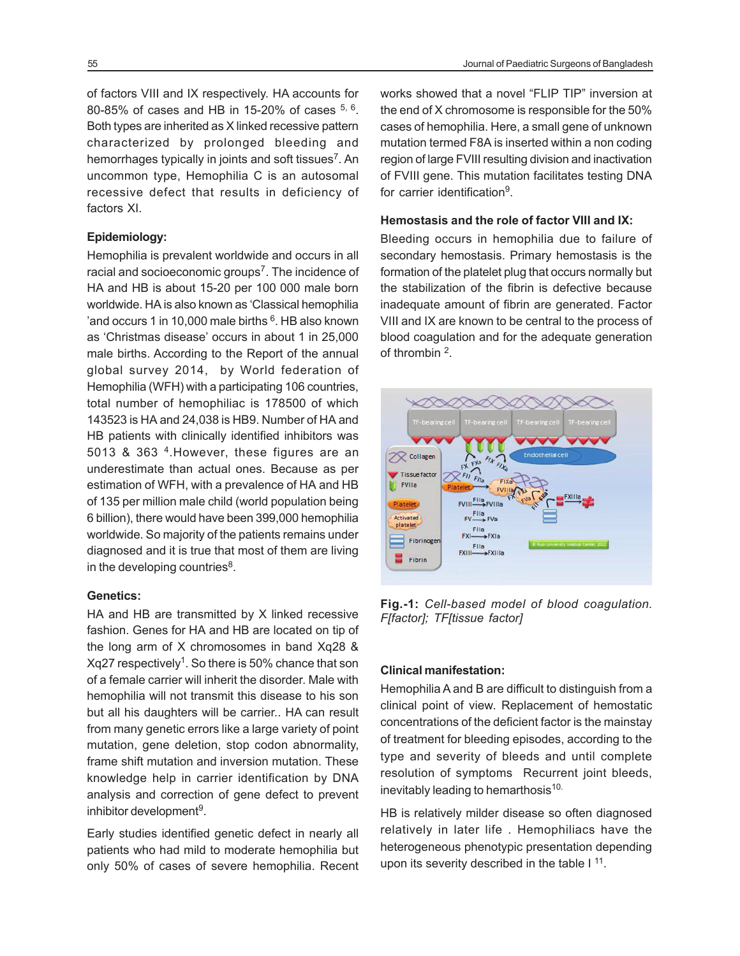of factors VIII and IX respectively. HA accounts for 80-85% of cases and HB in 15-20% of cases  $5, 6$ . Both types are inherited as X linked recessive pattern characterized by prolonged bleeding and hemorrhages typically in joints and soft tissues<sup>7</sup>. An uncommon type, Hemophilia C is an autosomal recessive defect that results in deficiency of factors XI.

# **Epidemiology:**

Hemophilia is prevalent worldwide and occurs in all racial and socioeconomic groups<sup>7</sup>. The incidence of HA and HB is about 15-20 per 100 000 male born worldwide. HA is also known as 'Classical hemophilia 'and occurs 1 in 10,000 male births <sup>6</sup>. HB also known as 'Christmas disease' occurs in about 1 in 25,000 male births. According to the Report of the annual global survey 2014, by World federation of Hemophilia (WFH) with a participating 106 countries, total number of hemophiliac is 178500 of which 143523 is HA and 24,038 is HB9. Number of HA and HB patients with clinically identified inhibitors was 5013 & 363<sup>4</sup>. However, these figures are an underestimate than actual ones. Because as per estimation of WFH, with a prevalence of HA and HB of 135 per million male child (world population being 6 billion), there would have been 399,000 hemophilia worldwide. So majority of the patients remains under diagnosed and it is true that most of them are living in the developing countries<sup>8</sup>.

## **Genetics:**

HA and HB are transmitted by X linked recessive fashion. Genes for HA and HB are located on tip of the long arm of X chromosomes in band Xq28 & Xq27 respectively<sup>1</sup>. So there is 50% chance that son of a female carrier will inherit the disorder. Male with hemophilia will not transmit this disease to his son but all his daughters will be carrier.. HA can result from many genetic errors like a large variety of point mutation, gene deletion, stop codon abnormality, frame shift mutation and inversion mutation. These knowledge help in carrier identification by DNA analysis and correction of gene defect to prevent inhibitor development<sup>9</sup>.

Early studies identified genetic defect in nearly all patients who had mild to moderate hemophilia but only 50% of cases of severe hemophilia. Recent works showed that a novel "FLIP TIP" inversion at the end of X chromosome is responsible for the 50% cases of hemophilia. Here, a small gene of unknown mutation termed F8A is inserted within a non coding region of large FVIII resulting division and inactivation of FVIII gene. This mutation facilitates testing DNA for carrier identification<sup>9</sup>.

#### **Hemostasis and the role of factor VIII and IX:**

Bleeding occurs in hemophilia due to failure of secondary hemostasis. Primary hemostasis is the formation of the platelet plug that occurs normally but the stabilization of the fibrin is defective because inadequate amount of fibrin are generated. Factor VIII and IX are known to be central to the process of blood coagulation and for the adequate generation of thrombin <sup>2</sup>.



**Fig.-1:** *Cell-based model of blood coagulation. F[factor]; TF[tissue factor]*

# **Clinical manifestation:**

Hemophilia A and B are difficult to distinguish from a clinical point of view. Replacement of hemostatic concentrations of the deficient factor is the mainstay of treatment for bleeding episodes, according to the type and severity of bleeds and until complete resolution of symptoms Recurrent joint bleeds, inevitably leading to hemarthosis<sup>10.</sup>

HB is relatively milder disease so often diagnosed relatively in later life . Hemophiliacs have the heterogeneous phenotypic presentation depending upon its severity described in the table  $1<sup>11</sup>$ .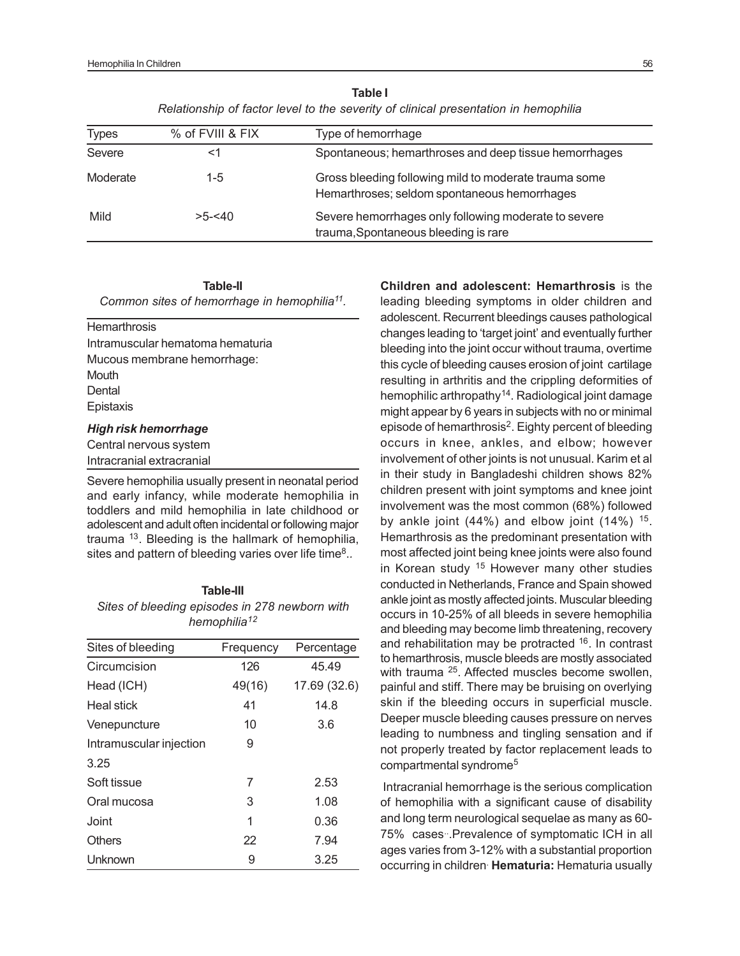| Table I                                                                             |
|-------------------------------------------------------------------------------------|
| Relationship of factor level to the severity of clinical presentation in hemophilia |

| <b>Types</b> | % of FVIII & FIX | Type of hemorrhage                                                                                    |
|--------------|------------------|-------------------------------------------------------------------------------------------------------|
| Severe       | <1               | Spontaneous; hemarthroses and deep tissue hemorrhages                                                 |
| Moderate     | $1 - 5$          | Gross bleeding following mild to moderate trauma some<br>Hemarthroses; seldom spontaneous hemorrhages |
| Mild         | $>5 - 540$       | Severe hemorrhages only following moderate to severe<br>trauma, Spontaneous bleeding is rare          |

**Table-II** *Common sites of hemorrhage in hemophilia<sup>11</sup> .*

**Hemarthrosis** Intramuscular hematoma hematuria Mucous membrane hemorrhage: **Mouth Dental** Epistaxis

#### *High risk hemorrhage*

Central nervous system Intracranial extracranial

Severe hemophilia usually present in neonatal period and early infancy, while moderate hemophilia in toddlers and mild hemophilia in late childhood or adolescent and adult often incidental or following major trauma <sup>13</sup>. Bleeding is the hallmark of hemophilia, sites and pattern of bleeding varies over life time<sup>8</sup>..

#### **Table-III**

*Sites of bleeding episodes in 278 newborn with hemophilia<sup>12</sup>*

| Sites of bleeding       | Frequency | Percentage   |
|-------------------------|-----------|--------------|
| Circumcision            | 126       | 45.49        |
| Head (ICH)              | 49(16)    | 17.69 (32.6) |
| Heal stick              | 41        | 14.8         |
| Venepuncture            | 10        | 3.6          |
| Intramuscular injection | 9         |              |
| 3.25                    |           |              |
| Soft tissue             | 7         | 2.53         |
| Oral mucosa             | 3         | 1.08         |
| Joint                   | 1         | 0.36         |
| <b>Others</b>           | 22        | 7.94         |
| Unknown                 | 9         | 3.25         |

**Children and adolescent: Hemarthrosis** is the leading bleeding symptoms in older children and adolescent. Recurrent bleedings causes pathological changes leading to 'target joint' and eventually further bleeding into the joint occur without trauma, overtime this cycle of bleeding causes erosion of joint cartilage resulting in arthritis and the crippling deformities of hemophilic arthropathy<sup>14</sup>. Radiological joint damage might appear by 6 years in subjects with no or minimal episode of hemarthrosis<sup>2</sup>. Eighty percent of bleeding occurs in knee, ankles, and elbow; however involvement of other joints is not unusual. Karim et al in their study in Bangladeshi children shows 82% children present with joint symptoms and knee joint involvement was the most common (68%) followed by ankle joint  $(44%)$  and elbow joint  $(14%)$  <sup>15</sup>. Hemarthrosis as the predominant presentation with most affected joint being knee joints were also found in Korean study <sup>15</sup> However many other studies conducted in Netherlands, France and Spain showed ankle joint as mostly affected joints. Muscular bleeding occurs in 10-25% of all bleeds in severe hemophilia and bleeding may become limb threatening, recovery and rehabilitation may be protracted <sup>16</sup>. In contrast to hemarthrosis, muscle bleeds are mostly associated with trauma <sup>25</sup>. Affected muscles become swollen, painful and stiff. There may be bruising on overlying skin if the bleeding occurs in superficial muscle. Deeper muscle bleeding causes pressure on nerves leading to numbness and tingling sensation and if not properly treated by factor replacement leads to compartmental syndrome<sup>5</sup>

Intracranial hemorrhage is the serious complication of hemophilia with a significant cause of disability and long term neurological sequelae as many as 60- 75% cases Prevalence of symptomatic ICH in all ages varies from 3-12% with a substantial proportion occurring in children.  **Hematuria:** Hematuria usually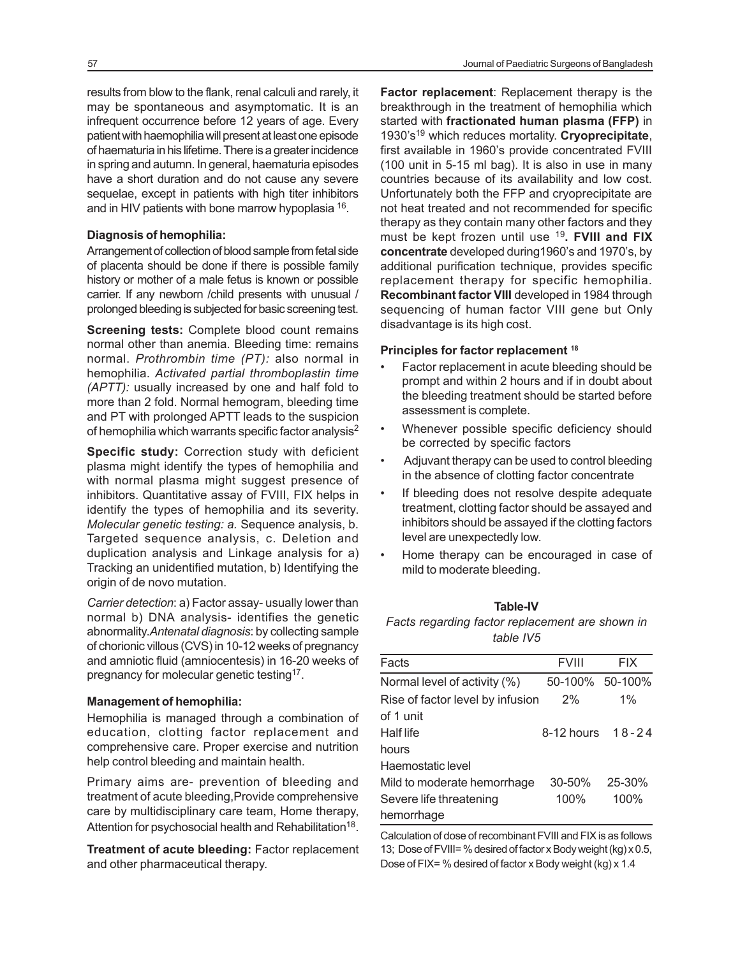results from blow to the flank, renal calculi and rarely, it may be spontaneous and asymptomatic. It is an infrequent occurrence before 12 years of age. Every patient with haemophilia will present at least one episode of haematuria in his lifetime. There is a greater incidence in spring and autumn. In general, haematuria episodes have a short duration and do not cause any severe sequelae, except in patients with high titer inhibitors and in HIV patients with bone marrow hypoplasia <sup>16</sup>.

#### **Diagnosis of hemophilia:**

Arrangement of collection of blood sample from fetal side of placenta should be done if there is possible family history or mother of a male fetus is known or possible carrier. If any newborn /child presents with unusual / prolonged bleeding is subjected for basic screening test.

**Screening tests: Complete blood count remains** normal other than anemia. Bleeding time: remains normal. *Prothrombin time (PT):* also normal in hemophilia. *Activated partial thromboplastin time (APTT):* usually increased by one and half fold to more than 2 fold. Normal hemogram, bleeding time and PT with prolonged APTT leads to the suspicion of hemophilia which warrants specific factor analysis<sup>2</sup>

**Specific study:** Correction study with deficient plasma might identify the types of hemophilia and with normal plasma might suggest presence of inhibitors. Quantitative assay of FVIII, FIX helps in identify the types of hemophilia and its severity. *Molecular genetic testing: a.* Sequence analysis, b. Targeted sequence analysis, c. Deletion and duplication analysis and Linkage analysis for a) Tracking an unidentified mutation, b) Identifying the origin of de novo mutation.

*Carrier detection*: a) Factor assay- usually lower than normal b) DNA analysis- identifies the genetic abnormality.*Antenatal diagnosis*: by collecting sample of chorionic villous (CVS) in 10-12 weeks of pregnancy and amniotic fluid (amniocentesis) in 16-20 weeks of pregnancy for molecular genetic testing<sup>17</sup>.

#### **Management of hemophilia:**

Hemophilia is managed through a combination of education, clotting factor replacement and comprehensive care. Proper exercise and nutrition help control bleeding and maintain health.

Primary aims are- prevention of bleeding and treatment of acute bleeding,Provide comprehensive care by multidisciplinary care team, Home therapy, Attention for psychosocial health and Rehabilitation<sup>18</sup>.

**Treatment of acute bleeding:** Factor replacement and other pharmaceutical therapy.

**Factor replacement**: Replacement therapy is the breakthrough in the treatment of hemophilia which started with **fractionated human plasma (FFP)** in 1930's <sup>19</sup> which reduces mortality. **Cryoprecipitate**, first available in 1960's provide concentrated FVIII (100 unit in 5-15 ml bag). It is also in use in many countries because of its availability and low cost. Unfortunately both the FFP and cryoprecipitate are not heat treated and not recommended for specific therapy as they contain many other factors and they must be kept frozen until use <sup>19</sup>**. FVIII and FIX concentrate** developed during1960's and 1970's, by additional purification technique, provides specific replacement therapy for specific hemophilia. **Recombinant factor VIII** developed in 1984 through sequencing of human factor VIII gene but Only disadvantage is its high cost.

#### **Principles for factor replacement <sup>18</sup>**

- Factor replacement in acute bleeding should be prompt and within 2 hours and if in doubt about the bleeding treatment should be started before assessment is complete.
- Whenever possible specific deficiency should be corrected by specific factors
- Adjuvant therapy can be used to control bleeding in the absence of clotting factor concentrate
- If bleeding does not resolve despite adequate treatment, clotting factor should be assayed and inhibitors should be assayed if the clotting factors level are unexpectedly low.
- Home therapy can be encouraged in case of mild to moderate bleeding.

#### **Table-IV**

*Facts regarding factor replacement are shown in table IV5*

| Facts                            | <b>FVIII</b>    | <b>FIX</b> |
|----------------------------------|-----------------|------------|
| Normal level of activity (%)     | 50-100% 50-100% |            |
| Rise of factor level by infusion | 2%              | $1\%$      |
| of 1 unit                        |                 |            |
| Half life                        | 8-12 hours      | $18 - 24$  |
| hours                            |                 |            |
| Haemostatic level                |                 |            |
| Mild to moderate hemorrhage      | $30 - 50%$      | 25-30%     |
| Severe life threatening          | 100%            | 100%       |
| hemorrhage                       |                 |            |

Calculation of dose of recombinant FVIII and FIX is as follows 13; Dose of FVIII= % desired of factor x Body weight (kg) x 0.5, Dose of FIX= % desired of factor x Body weight (kg) x 1.4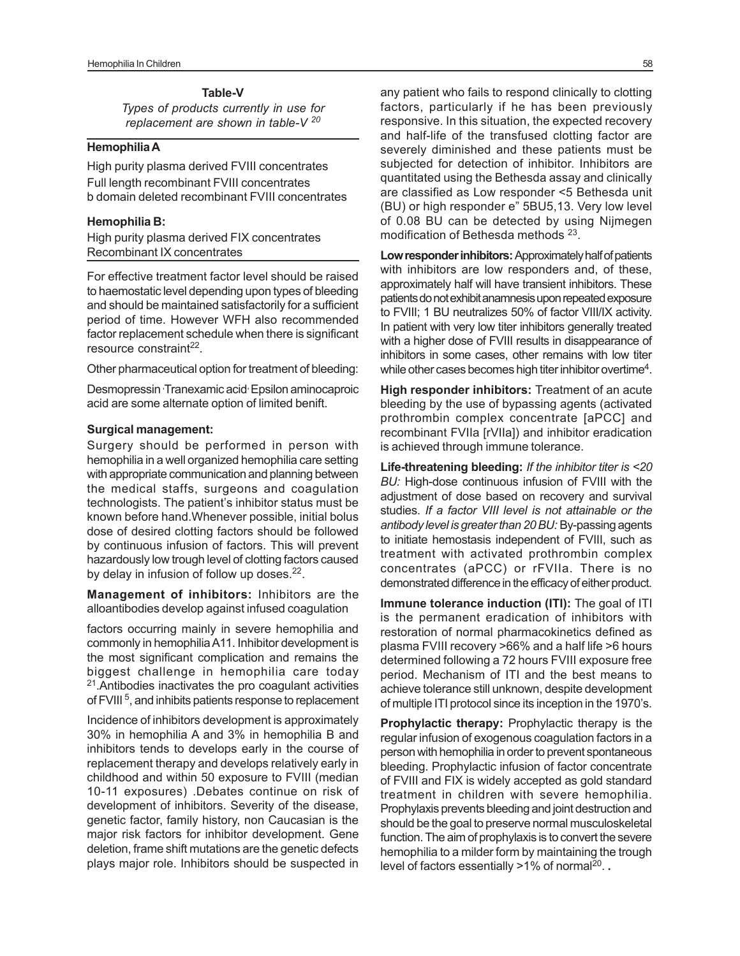# **Table-V**

*Types of products currently in use for replacement are shown in table-V <sup>20</sup>*

# **Hemophilia A**

High purity plasma derived FVIII concentrates Full length recombinant FVIII concentrates b domain deleted recombinant FVIII concentrates

#### **Hemophilia B:**

High purity plasma derived FIX concentrates Recombinant IX concentrates

For effective treatment factor level should be raised to haemostatic level depending upon types of bleeding and should be maintained satisfactorily for a sufficient period of time. However WFH also recommended factor replacement schedule when there is significant resource constraint<sup>22</sup>.

Other pharmaceutical option for treatment of bleeding:

Desmopressin Tranexamic acid Epsilon aminocaproic acid are some alternate option of limited benift.

#### **Surgical management:**

Surgery should be performed in person with hemophilia in a well organized hemophilia care setting with appropriate communication and planning between the medical staffs, surgeons and coagulation technologists. The patient's inhibitor status must be known before hand.Whenever possible, initial bolus dose of desired clotting factors should be followed by continuous infusion of factors. This will prevent hazardously low trough level of clotting factors caused by delay in infusion of follow up doses.<sup>22</sup>.

**Management of inhibitors:** Inhibitors are the alloantibodies develop against infused coagulation

factors occurring mainly in severe hemophilia and commonly in hemophilia A11. Inhibitor development is the most significant complication and remains the biggest challenge in hemophilia care today <sup>21</sup>.Antibodies inactivates the pro coagulant activities of FVIII<sup>5</sup>, and inhibits patients response to replacement

Incidence of inhibitors development is approximately 30% in hemophilia A and 3% in hemophilia B and inhibitors tends to develops early in the course of replacement therapy and develops relatively early in childhood and within 50 exposure to FVIII (median 10-11 exposures) .Debates continue on risk of development of inhibitors. Severity of the disease, genetic factor, family history, non Caucasian is the major risk factors for inhibitor development. Gene deletion, frame shift mutations are the genetic defects plays major role. Inhibitors should be suspected in

any patient who fails to respond clinically to clotting factors, particularly if he has been previously responsive. In this situation, the expected recovery and half-life of the transfused clotting factor are severely diminished and these patients must be subjected for detection of inhibitor. Inhibitors are quantitated using the Bethesda assay and clinically are classified as Low responder <5 Bethesda unit (BU) or high responder e" 5BU5,13. Very low level of 0.08 BU can be detected by using Nijmegen modification of Bethesda methods<sup>23</sup>.

**Low responder inhibitors:** Approximately half of patients with inhibitors are low responders and, of these, approximately half will have transient inhibitors. These patients do not exhibit anamnesis upon repeated exposure to FVIII; 1 BU neutralizes 50% of factor VIII/IX activity. In patient with very low titer inhibitors generally treated with a higher dose of FVIII results in disappearance of inhibitors in some cases, other remains with low titer while other cases becomes high titer inhibitor overtime<sup>4</sup>.

**High responder inhibitors:** Treatment of an acute bleeding by the use of bypassing agents (activated prothrombin complex concentrate [aPCC] and recombinant FVIIa [rVIIa]) and inhibitor eradication is achieved through immune tolerance.

**Life-threatening bleeding:** *If the inhibitor titer is <20 BU:* High-dose continuous infusion of FVIII with the adjustment of dose based on recovery and survival studies. *If a factor VIII level is not attainable or the antibody level is greater than 20 BU:* By-passing agents to initiate hemostasis independent of FVIII, such as treatment with activated prothrombin complex concentrates (aPCC) or rFVIIa. There is no demonstrated difference in the efficacy of either product.

**Immune tolerance induction (ITI):** The goal of ITI is the permanent eradication of inhibitors with restoration of normal pharmacokinetics defined as plasma FVIII recovery >66% and a half life >6 hours determined following a 72 hours FVIII exposure free period. Mechanism of ITI and the best means to achieve tolerance still unknown, despite development of multiple ITI protocol since its inception in the 1970's.

**Prophylactic therapy:** Prophylactic therapy is the regular infusion of exogenous coagulation factors in a person with hemophilia in order to prevent spontaneous bleeding. Prophylactic infusion of factor concentrate of FVIII and FIX is widely accepted as gold standard treatment in children with severe hemophilia. Prophylaxis prevents bleeding and joint destruction and should be the goal to preserve normal musculoskeletal function. The aim of prophylaxis is to convert the severe hemophilia to a milder form by maintaining the trough level of factors essentially >1% of normal<sup>20</sup>..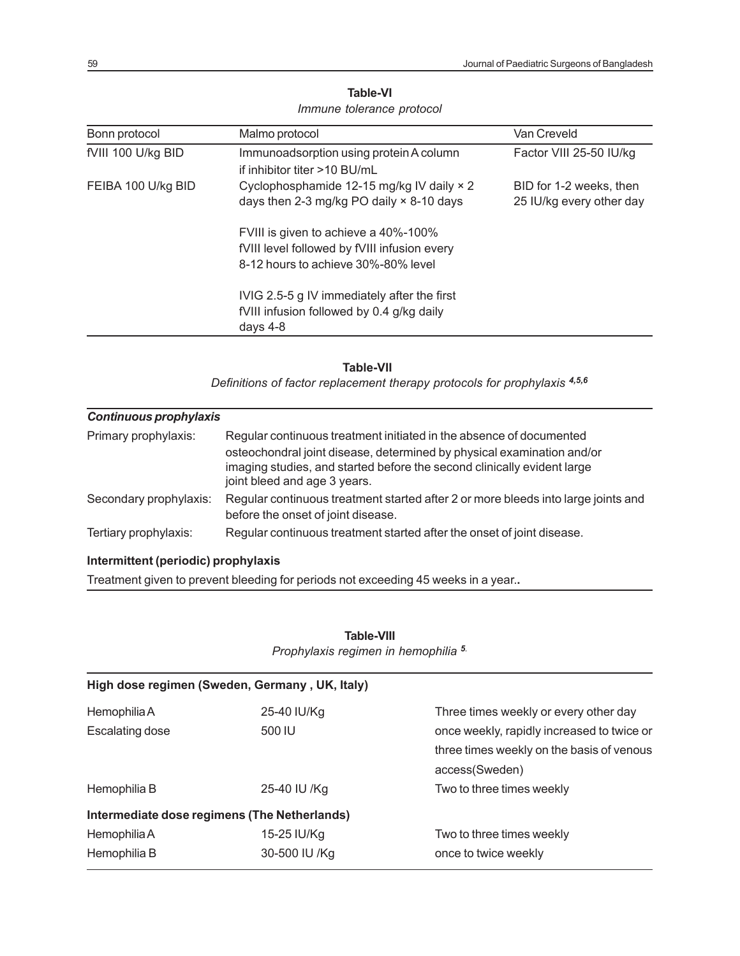| Bonn protocol      | Malmo protocol                                                                                                              | Van Creveld                                         |
|--------------------|-----------------------------------------------------------------------------------------------------------------------------|-----------------------------------------------------|
| fVIII 100 U/kg BID | Immunoadsorption using protein A column<br>if inhibitor titer >10 BU/mL                                                     | Factor VIII 25-50 IU/kg                             |
| FEIBA 100 U/kg BID | Cyclophosphamide 12-15 mg/kg IV daily × 2<br>days then 2-3 mg/kg PO daily $\times$ 8-10 days                                | BID for 1-2 weeks, then<br>25 IU/kg every other day |
|                    | FVIII is given to achieve a 40%-100%<br>fVIII level followed by fVIII infusion every<br>8-12 hours to achieve 30%-80% level |                                                     |
|                    | IVIG 2.5-5 g IV immediately after the first<br>fVIII infusion followed by 0.4 g/kg daily<br>days $4-8$                      |                                                     |

# **Table-VI** *Immune tolerance protocol*

#### **Table-VII**

 *Definitions of factor replacement therapy protocols for prophylaxis 4,5,6*

| <b>Continuous prophylaxis</b> |                                                                                                                                                                                                                                                          |
|-------------------------------|----------------------------------------------------------------------------------------------------------------------------------------------------------------------------------------------------------------------------------------------------------|
| Primary prophylaxis:          | Regular continuous treatment initiated in the absence of documented<br>osteochondral joint disease, determined by physical examination and/or<br>imaging studies, and started before the second clinically evident large<br>joint bleed and age 3 years. |
| Secondary prophylaxis:        | Regular continuous treatment started after 2 or more bleeds into large joints and<br>before the onset of joint disease.                                                                                                                                  |
| Tertiary prophylaxis:         | Regular continuous treatment started after the onset of joint disease.                                                                                                                                                                                   |

# **Intermittent (periodic) prophylaxis**

Treatment given to prevent bleeding for periods not exceeding 45 weeks in a year.**.**

|                        | High dose regimen (Sweden, Germany, UK, Italy) |                                            |
|------------------------|------------------------------------------------|--------------------------------------------|
| Hemophilia A           | 25-40 IU/Kg                                    | Three times weekly or every other day      |
| <b>Escalating dose</b> | 500 IU                                         | once weekly, rapidly increased to twice or |
|                        |                                                | three times weekly on the basis of venous  |
|                        |                                                | access(Sweden)                             |
| Hemophilia B           | 25-40 IU /Kg                                   | Two to three times weekly                  |
|                        | Intermediate dose regimens (The Netherlands)   |                                            |
| Hemophilia A           | 15-25 IU/Kg                                    | Two to three times weekly                  |
| Hemophilia B           | 30-500 IU /Kg                                  | once to twice weekly                       |

# **Table-VIII** *Prophylaxis regimen in hemophilia 5.*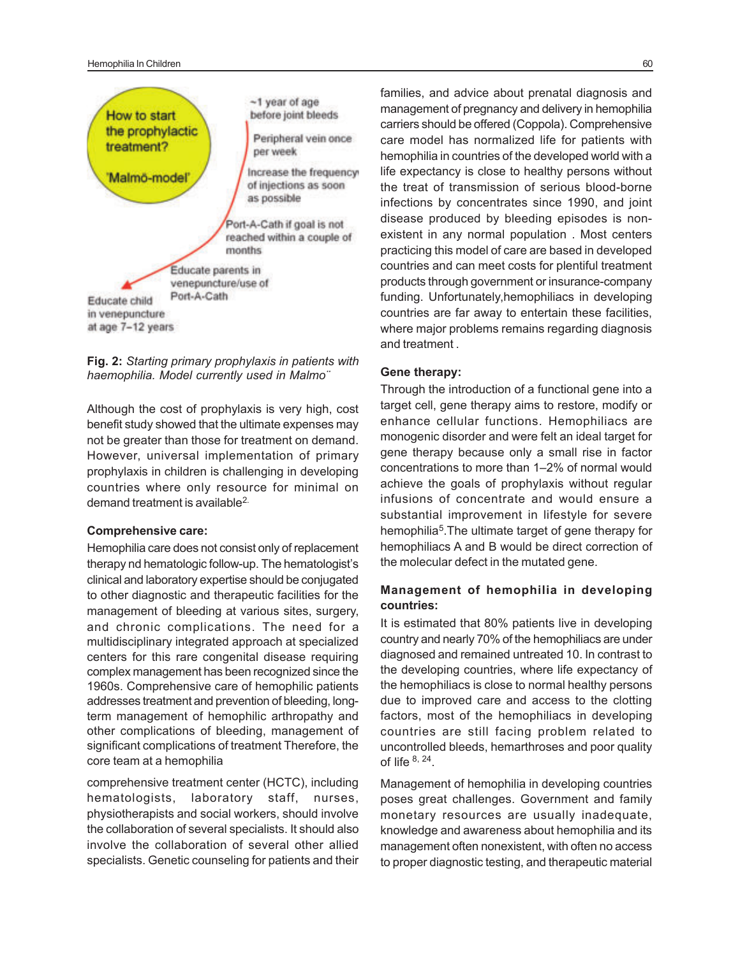#### Hemophilia In Children 60



**Fig. 2:** *Starting primary prophylaxis in patients with haemophilia. Model currently used in Malmo¨*

Although the cost of prophylaxis is very high, cost benefit study showed that the ultimate expenses may not be greater than those for treatment on demand. However, universal implementation of primary prophylaxis in children is challenging in developing countries where only resource for minimal on demand treatment is available<sup>2.</sup>

#### **Comprehensive care:**

Hemophilia care does not consist only of replacement therapy nd hematologic follow-up. The hematologist's clinical and laboratory expertise should be conjugated to other diagnostic and therapeutic facilities for the management of bleeding at various sites, surgery, and chronic complications. The need for a multidisciplinary integrated approach at specialized centers for this rare congenital disease requiring complex management has been recognized since the 1960s. Comprehensive care of hemophilic patients addresses treatment and prevention of bleeding, longterm management of hemophilic arthropathy and other complications of bleeding, management of significant complications of treatment Therefore, the core team at a hemophilia

comprehensive treatment center (HCTC), including hematologists, laboratory staff, nurses, physiotherapists and social workers, should involve the collaboration of several specialists. It should also involve the collaboration of several other allied specialists. Genetic counseling for patients and their

families, and advice about prenatal diagnosis and management of pregnancy and delivery in hemophilia carriers should be offered (Coppola). Comprehensive care model has normalized life for patients with hemophilia in countries of the developed world with a life expectancy is close to healthy persons without the treat of transmission of serious blood-borne infections by concentrates since 1990, and joint disease produced by bleeding episodes is nonexistent in any normal population . Most centers practicing this model of care are based in developed countries and can meet costs for plentiful treatment products through government or insurance-company funding. Unfortunately,hemophiliacs in developing countries are far away to entertain these facilities, where major problems remains regarding diagnosis and treatment .

## **Gene therapy:**

Through the introduction of a functional gene into a target cell, gene therapy aims to restore, modify or enhance cellular functions*.* Hemophiliacs are monogenic disorder and were felt an ideal target for gene therapy because only a small rise in factor concentrations to more than 1–2% of normal would achieve the goals of prophylaxis without regular infusions of concentrate and would ensure a substantial improvement in lifestyle for severe hemophilia<sup>5</sup>. The ultimate target of gene therapy for hemophiliacs A and B would be direct correction of the molecular defect in the mutated gene.

# **Management of hemophilia in developing countries:**

It is estimated that 80% patients live in developing country and nearly 70% of the hemophiliacs are under diagnosed and remained untreated 10. In contrast to the developing countries, where life expectancy of the hemophiliacs is close to normal healthy persons due to improved care and access to the clotting factors, most of the hemophiliacs in developing countries are still facing problem related to uncontrolled bleeds, hemarthroses and poor quality of life  $8, 24$ .

Management of hemophilia in developing countries poses great challenges. Government and family monetary resources are usually inadequate, knowledge and awareness about hemophilia and its management often nonexistent, with often no access to proper diagnostic testing, and therapeutic material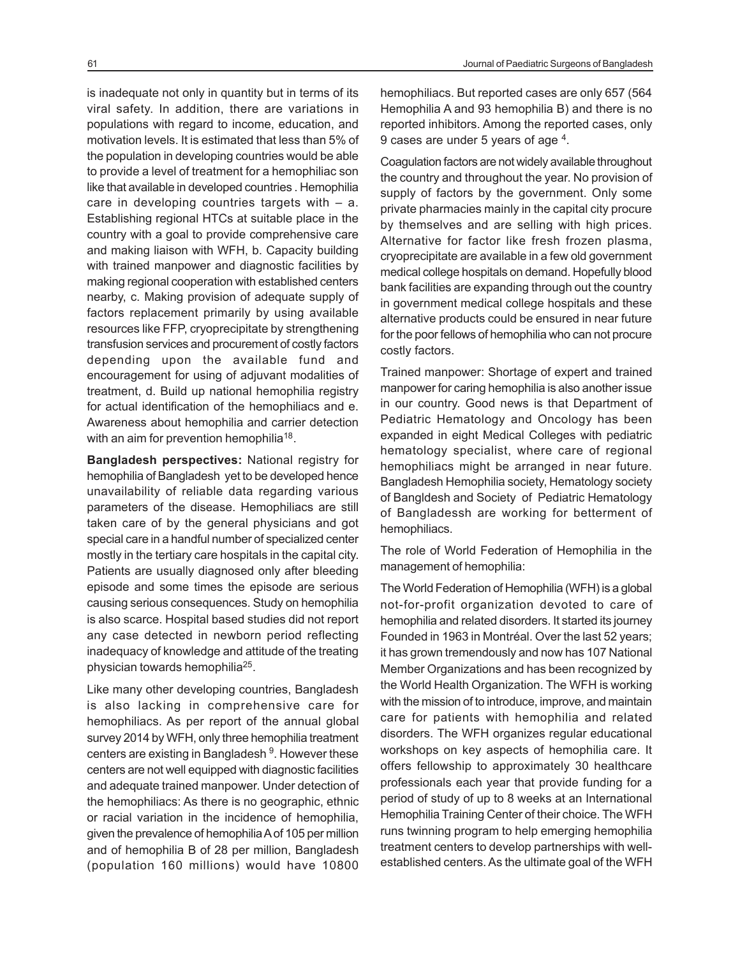is inadequate not only in quantity but in terms of its viral safety. In addition, there are variations in populations with regard to income, education, and motivation levels. It is estimated that less than 5% of the population in developing countries would be able to provide a level of treatment for a hemophiliac son like that available in developed countries . Hemophilia care in developing countries targets with – a. Establishing regional HTCs at suitable place in the country with a goal to provide comprehensive care and making liaison with WFH, b. Capacity building with trained manpower and diagnostic facilities by making regional cooperation with established centers nearby, c. Making provision of adequate supply of factors replacement primarily by using available resources like FFP, cryoprecipitate by strengthening transfusion services and procurement of costly factors depending upon the available fund and encouragement for using of adjuvant modalities of treatment, d. Build up national hemophilia registry for actual identification of the hemophiliacs and e. Awareness about hemophilia and carrier detection with an aim for prevention hemophilia<sup>18</sup>.

**Bangladesh perspectives:** National registry for hemophilia of Bangladesh yet to be developed hence unavailability of reliable data regarding various parameters of the disease. Hemophiliacs are still taken care of by the general physicians and got special care in a handful number of specialized center mostly in the tertiary care hospitals in the capital city. Patients are usually diagnosed only after bleeding episode and some times the episode are serious causing serious consequences. Study on hemophilia is also scarce. Hospital based studies did not report any case detected in newborn period reflecting inadequacy of knowledge and attitude of the treating physician towards hemophilia<sup>25</sup>.

Like many other developing countries, Bangladesh is also lacking in comprehensive care for hemophiliacs. As per report of the annual global survey 2014 by WFH, only three hemophilia treatment centers are existing in Bangladesh <sup>9</sup>. However these centers are not well equipped with diagnostic facilities and adequate trained manpower. Under detection of the hemophiliacs: As there is no geographic, ethnic or racial variation in the incidence of hemophilia, given the prevalence of hemophilia A of 105 per million and of hemophilia B of 28 per million, Bangladesh (population 160 millions) would have 10800

hemophiliacs. But reported cases are only 657 (564 Hemophilia A and 93 hemophilia B) and there is no reported inhibitors. Among the reported cases, only 9 cases are under 5 years of age <sup>4</sup>.

Coagulation factors are not widely available throughout the country and throughout the year. No provision of supply of factors by the government. Only some private pharmacies mainly in the capital city procure by themselves and are selling with high prices. Alternative for factor like fresh frozen plasma, cryoprecipitate are available in a few old government medical college hospitals on demand. Hopefully blood bank facilities are expanding through out the country in government medical college hospitals and these alternative products could be ensured in near future for the poor fellows of hemophilia who can not procure costly factors.

Trained manpower: Shortage of expert and trained manpower for caring hemophilia is also another issue in our country. Good news is that Department of Pediatric Hematology and Oncology has been expanded in eight Medical Colleges with pediatric hematology specialist, where care of regional hemophiliacs might be arranged in near future. Bangladesh Hemophilia society, Hematology society of Bangldesh and Society of Pediatric Hematology of Bangladessh are working for betterment of hemophiliacs.

The role of World Federation of Hemophilia in the management of hemophilia:

The World Federation of Hemophilia (WFH) is a global not-for-profit organization devoted to care of hemophilia and related disorders. It started its journey Founded in 1963 in Montréal. Over the last 52 years; it has grown tremendously and now has 107 National Member Organizations and has been recognized by the World Health Organization. The WFH is working with the mission of to introduce, improve, and maintain care for patients with hemophilia and related disorders. The WFH organizes regular educational workshops on key aspects of hemophilia care. It offers fellowship to approximately 30 healthcare professionals each year that provide funding for a period of study of up to 8 weeks at an International Hemophilia Training Center of their choice. The WFH runs twinning program to help emerging hemophilia treatment centers to develop partnerships with wellestablished centers. As the ultimate goal of the WFH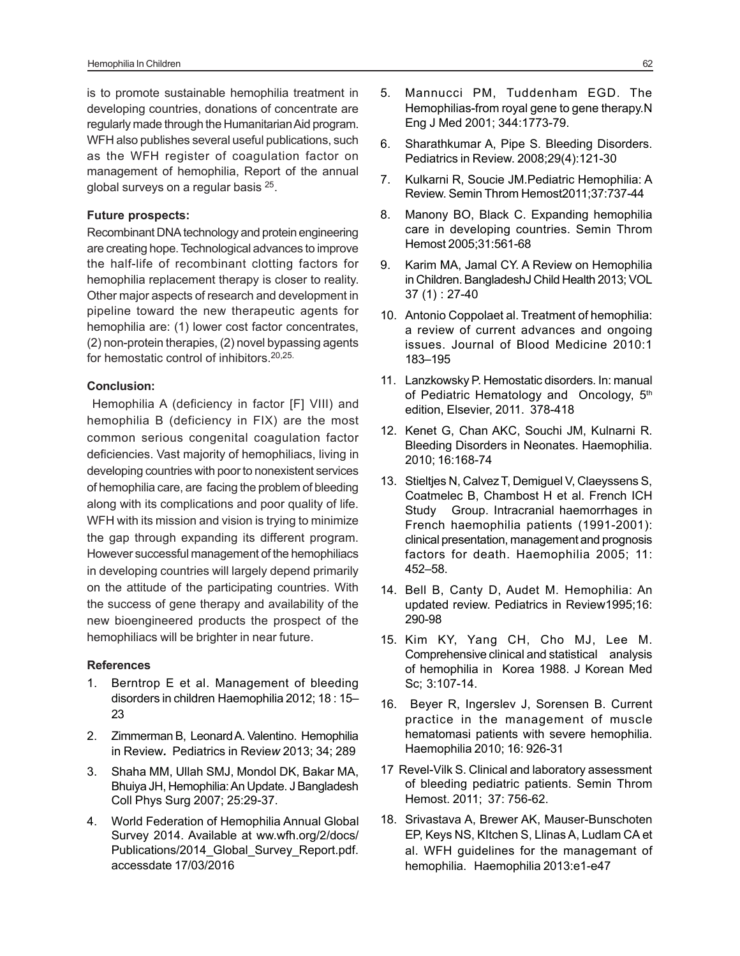is to promote sustainable hemophilia treatment in developing countries, donations of concentrate are regularly made through the Humanitarian Aid program. WFH also publishes several useful publications, such as the WFH register of coagulation factor on management of hemophilia, Report of the annual global surveys on a regular basis <sup>25</sup>.

## **Future prospects:**

Recombinant DNA technology and protein engineering are creating hope. Technological advances to improve the half-life of recombinant clotting factors for hemophilia replacement therapy is closer to reality. Other major aspects of research and development in pipeline toward the new therapeutic agents for hemophilia are: (1) lower cost factor concentrates, (2) non-protein therapies, (2) novel bypassing agents for hemostatic control of inhibitors.20,25.

# **Conclusion:**

Hemophilia A (deficiency in factor [F] VIII) and hemophilia B (deficiency in FIX) are the most common serious congenital coagulation factor deficiencies. Vast majority of hemophiliacs, living in developing countries with poor to nonexistent services of hemophilia care, are facing the problem of bleeding along with its complications and poor quality of life. WFH with its mission and vision is trying to minimize the gap through expanding its different program. However successful management of the hemophiliacs in developing countries will largely depend primarily on the attitude of the participating countries. With the success of gene therapy and availability of the new bioengineered products the prospect of the hemophiliacs will be brighter in near future.

#### **References**

- 1. Berntrop E et al. Management of bleeding disorders in children Haemophilia 2012; 18 : 15– 23
- 2. Zimmerman B, Leonard A. Valentino. Hemophilia in Review*.* Pediatrics in Revie*w* 2013; 34; 289
- 3. Shaha MM, Ullah SMJ, Mondol DK, Bakar MA, Bhuiya JH, Hemophilia: An Update. J Bangladesh Coll Phys Surg 2007; 25:29-37.
- 4. World Federation of Hemophilia Annual Global Survey 2014. Available at ww.wfh.org/2/docs/ Publications/2014\_Global\_Survey\_Report.pdf. accessdate 17/03/2016
- 5. Mannucci PM, Tuddenham EGD. The Hemophilias-from royal gene to gene therapy.N Eng J Med 2001; 344:1773-79.
- 6. Sharathkumar A, Pipe S. Bleeding Disorders. Pediatrics in Review. 2008;29(4):121-30
- 7. Kulkarni R, Soucie JM.Pediatric Hemophilia: A Review. Semin Throm Hemost2011;37:737-44
- 8. Manony BO, Black C. Expanding hemophilia care in developing countries. Semin Throm Hemost 2005;31:561-68
- 9. Karim MA, Jamal CY. A Review on Hemophilia in Children. BangladeshJ Child Health 2013; VOL 37 (1) : 27-40
- 10. Antonio Coppolaet al. Treatment of hemophilia: a review of current advances and ongoing issues. Journal of Blood Medicine 2010:1 183–195
- 11. Lanzkowsky P. Hemostatic disorders. In: manual of Pediatric Hematology and Oncology, 5<sup>th</sup> edition, Elsevier, 2011. 378-418
- 12. Kenet G, Chan AKC, Souchi JM, Kulnarni R. Bleeding Disorders in Neonates. Haemophilia. 2010; 16:168-74
- 13. Stieltjes N, Calvez T, Demiguel V, Claeyssens S, Coatmelec B, Chambost H et al. French ICH Study Group. Intracranial haemorrhages in French haemophilia patients (1991-2001): clinical presentation, management and prognosis factors for death. Haemophilia 2005; 11: 452–58.
- 14. Bell B, Canty D, Audet M. Hemophilia: An updated review. Pediatrics in Review1995;16: 290-98
- 15. Kim KY, Yang CH, Cho MJ, Lee M. Comprehensive clinical and statistical analysis of hemophilia in Korea 1988. J Korean Med Sc; 3:107-14.
- 16. Beyer R, Ingerslev J, Sorensen B. Current practice in the management of muscle hematomasi patients with severe hemophilia. Haemophilia 2010; 16: 926-31
- 17 Revel-Vilk S. Clinical and laboratory assessment of bleeding pediatric patients. Semin Throm Hemost. 2011; 37: 756-62.
- 18. Srivastava A, Brewer AK, Mauser-Bunschoten EP, Keys NS, KItchen S, Llinas A, Ludlam CA et al. WFH guidelines for the managemant of hemophilia. Haemophilia 2013:e1-e47